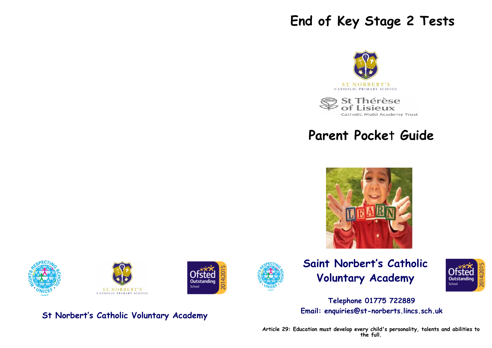# **End of Key Stage 2 Tests**



St Thérèse  $U\times$ Catholic Multi Academy Trust

# **Parent Pocke**t **Guide**











**St Norbert's Catholic Voluntary Academy**





## **Telephone 01775 722889 Email: enquiries@st-norberts.lincs.sch.uk**

**Article 29: Education must develop every child's personality, talents and abilities to the full.**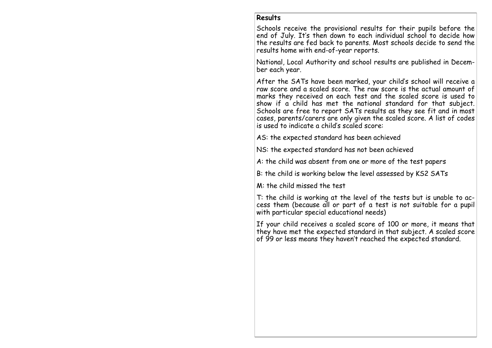#### **Results**

Schools receive the provisional results for their pupils before the end of July. It's then down to each individual school to decide how the results are fed back to parents. Most schools decide to send the results home with end-of-year reports.

National, Local Authority and school results are published in December each year.

After the SATs have been marked, your child's school will receive a raw score and a scaled score. The raw score is the actual amount of marks they received on each test and the scaled score is used to show if a child has met the national standard for that subject. Schools are free to report SATs results as they see fit and in most cases, parents/carers are only given the scaled score. A list of codes is used to indicate a child's scaled score:

AS: the expected standard has been achieved

NS: the expected standard has not been achieved

A: the child was absent from one or more of the test papers

B: the child is working below the level assessed by KS2 SATs

M: the child missed the test

T: the child is working at the level of the tests but is unable to access them (because all or part of a test is not suitable for a pupil with particular special educational needs)

If your child receives a scaled score of 100 or more, it means that they have met the expected standard in that subject. A scaled score of 99 or less means they haven't reached the expected standard.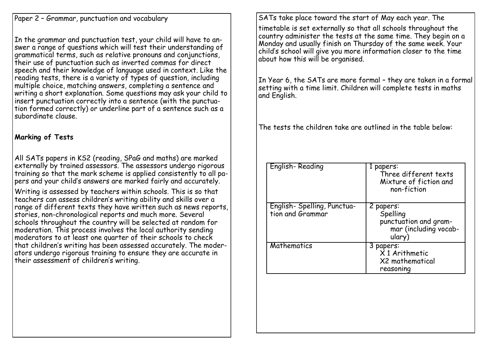Paper 2 – Grammar, punctuation and vocabulary

In the grammar and punctuation test, your child will have to answer a range of questions which will test their understanding of grammatical terms, such as relative pronouns and conjunctions, their use of punctuation such as inverted commas for direct speech and their knowledge of language used in context. Like the reading tests, there is a variety of types of question, including multiple choice, matching answers, completing a sentence and writing a short explanation. Some questions may ask your child to insert punctuation correctly into a sentence (with the punctuation formed correctly) or underline part of a sentence such as a subordinate clause.

## **Marking of Tests**

All SATs papers in KS2 (reading, SPaG and maths) are marked externally by trained assessors. The assessors undergo rigorous training so that the mark scheme is applied consistently to all papers and your child's answers are marked fairly and accurately.

Writing is assessed by teachers within schools. This is so that teachers can assess children's writing ability and skills over a range of different texts they have written such as news reports, stories, non-chronological reports and much more. Several schools throughout the country will be selected at random for moderation. This process involves the local authority sending moderators to at least one quarter of their schools to check that children's writing has been assessed accurately. The moderators undergo rigorous training to ensure they are accurate in their assessment of children's writing.

SATs take place toward the start of May each year. The timetable is set externally so that all schools throughout the country administer the tests at the same time. They begin on a Monday and usually finish on Thursday of the same week. Your child's school will give you more information closer to the time about how this will be organised.

In Year 6, the SATs are more formal – they are taken in a formal setting with a time limit. Children will complete tests in maths and English.

The tests the children take are outlined in the table below:

| English-Reading                                 | 1 papers:<br>Three different texts<br>Mixture of fiction and<br>non-fiction       |
|-------------------------------------------------|-----------------------------------------------------------------------------------|
| English- Spelling, Punctua-<br>tion and Grammar | 2 papers:<br>Spelling<br>punctuation and gram-<br>mar (including vocab-<br>ulary) |
| Mathematics                                     | 3 papers:<br>$X$ 1 Arithmetic<br>X2 mathematical<br>reasoning                     |